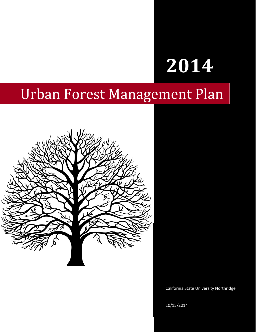# **2014**

# Urban Forest Management Plan



California State University Northridge

10/15/2014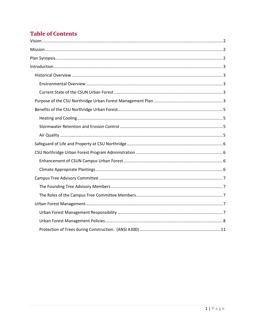# **Table of Contents**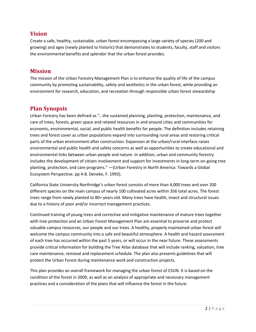# <span id="page-2-0"></span>**Vision**

Create a safe, healthy, sustainable, urban forest encompassing a large variety of species (200 and growing) and ages (newly planted to historic) that demonstrates to students, faculty, staff and visitors the environmental benefits and splendor that the urban forest provides.

# <span id="page-2-1"></span>**Mission**

The mission of the Urban Forestry Management Plan is to enhance the quality of life of the campus community by promoting sustainability, safety and aesthetics in the urban forest, while providing an environment for research, education, and recreation through responsible urban forest stewardship

# <span id="page-2-2"></span>**Plan Synopsis**

Urban Forestry has been defined as "…the sustained planning, planting, protection, maintenance, and care of trees, forests, green space and related resources in and around cities and communities for economic, environmental, social, and public health benefits for people. The definition includes retaining trees and forest cover as urban populations expand into surrounding rural areas and restoring critical parts of the urban environment after construction. Expansion at the urban/rural interface raises environmental and public health and safety concerns as well as opportunities to create educational and environmental links between urban people and nature. In addition, urban and community forestry includes the development of citizen involvement and support for investments in long-term on-going tree planting, protection, and care programs." —(Urban Forestry in North America: Towards a Global Ecosystem Perspective. pp 4-8. Deneke, F. 1993).

California State University Northridge's urban forest consists of more than 4,000 trees and over 200 different species on the main campus of nearly 100 cultivated acres within 356 total acres. The forest trees range from newly planted to 80+ years old. Many trees have health, insect and structural issues due to a history of poor and/or incorrect management practices.

Continued training of young trees and corrective and mitigative maintenance of mature trees together with tree protection and an Urban Forest Management Plan are essential to preserve and protect valuable campus resources, our people and our trees. A healthy, properly maintained urban forest will welcome the campus community into a safe and beautiful atmosphere. A health and hazard assessment of each tree has occurred within the past 5 years, or will occur in the near future. These assessments provide critical information for building the Tree Atlas database that will include ranking, valuation, tree care maintenance, removal and replacement schedule. The plan also presents guidelines that will protect the Urban Forest during maintenance work and construction projects.

This plan provides an overall framework for managing the urban forest of CSUN. It is based on the condition of the forest in 2009, as well as an analysis of appropriate and necessary management practices and a consideration of the plans that will influence the forest in the future.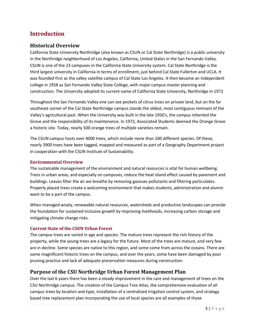# <span id="page-3-0"></span>**Introduction**

# <span id="page-3-1"></span>**Historical Overview**

California State University Northridge (also known as CSUN or Cal State Northridge) is a public university in the Northridge neighborhood of Los Angeles, California, United States in the San Fernando Valley. CSUN is one of the 23 campuses in the California State University system. Cal State Northridge is the third largest university in California in terms of enrollment, just behind Cal State Fullerton and UCLA. It was founded first as the valley satellite campus of Cal State Los Angeles. It then became an independent college in 1958 as San Fernando Valley State College, with major campus master planning and construction. The University adopted its current name of California State University, Northridge in 1972

Throughout the San Fernando Valley one can see pockets of citrus trees on private land, but on the far southeast corner of the Cal State Northridge campus stands the oldest, most contiguous remnant of the Valley's agricultural past. When the University was built in the late 1950's, the campus inherited the Grove and the responsibility of its maintenance. In 1972, Associated Students deemed the Orange Grove a historic site. Today, nearly 500 orange trees of multiple varieties remain.

The CSUN campus hosts over 4000 trees, which include more than 200 different species. Of these, nearly 3900 trees have been tagged, mapped and measured as part of a Geography Department project in cooperation with the CSUN Institute of Sustainability.

#### <span id="page-3-2"></span>**Environmental Overview**

The sustainable management of the environment and natural resources is vital for human wellbeing. Trees in urban areas, and especially on campuses, reduce the heat island effect caused by pavement and buildings. Leaves filter the air we breathe by removing gasoues pollutants and filtering particulates. Properly placed trees create a welcoming environment that makes students, administration and alumni want to be a part of the campus.

When managed wisely, renewable natural resources, watersheds and productive landscapes can provide the foundation for sustained inclusive growth by improving livelihoods, increasing carbon storage and mitigating climate change risks.

#### <span id="page-3-3"></span>**Current State of the CSUN Urban Forest**

The campus trees are varied in age and species. The mature trees represent the rich history of the property, while the young trees are a legacy for the future. Most of the trees are mature, and very few are in decline. Some species are native to this region, and some come from across the oceans. There are some magnificent historic trees on the campus, and over the years, some have been damaged by poor pruning practice and lack of adequate preservation measures during construction.

#### <span id="page-3-4"></span>**Purpose of the CSU Northridge Urban Forest Management Plan**

Over the last 6 years there has been a steady improvement in the care and management of trees on the CSU Northridge campus. The creation of the Campus Tree Atlas, the comprehensive evaluation of all campus trees by location and type, installation of a centralized irrigation control system, and strategy based tree replacement plan incorporating the use of local species are all examples of these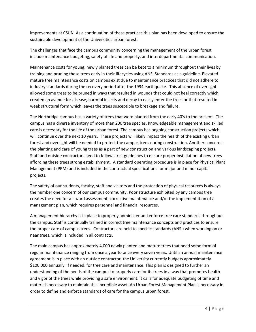improvements at CSUN. As a continuation of these practices this plan has been developed to ensure the sustainable development of the Universities urban forest.

The challenges that face the campus community concerning the management of the urban forest include maintenance budgeting, safety of life and property, and interdepartmental communication.

Maintenance costs for young, newly planted trees can be kept to a minimum throughout their lives by training and pruning these trees early in their lifecycles using ANSI Standards as a guideline. Elevated mature tree maintenance costs on campus exist due to maintenance practices that did not adhere to industry standards during the recovery period after the 1994 earthquake. This absence of oversight allowed some trees to be pruned in ways that resulted in wounds that could not heal correctly which created an avenue for disease, harmful insects and decay to easily enter the trees or that resulted in weak structural form which leaves the trees susceptible to breakage and failure.

The Northridge campus has a variety of trees that were planted from the early 40's to the present. The campus has a diverse inventory of more than 200 tree species. Knowledgeable management and skilled care is necessary for the life of the urban forest. The campus has ongoing construction projects which will continue over the next 10 years. These projects will likely impact the health of the existing urban forest and oversight will be needed to protect the campus trees during construction. Another concern is the planting and care of young trees as a part of new construction and various landscaping projects. Staff and outside contractors need to follow strict guidelines to ensure proper installation of new trees affording these trees strong establishment. A standard operating procedure is in place for Physical Plant Management (PPM) and is included in the contractual specifications for major and minor capital projects.

The safety of our students, faculty, staff and visitors and the protection of physical resources is always the number one concern of our campus community. Poor structure exhibited by any campus tree creates the need for a hazard assessment, corrective maintenance and/or the implementation of a management plan, which requires personnel and financial resources.

A management hierarchy is in place to properly administer and enforce tree care standards throughout the campus. Staff is continually trained in correct tree maintenance concepts and practices to ensure the proper care of campus trees. Contractors are held to specific standards (ANSI) when working on or near trees, which is included in all contracts.

The main campus has approximately 4,000 newly planted and mature trees that need some form of regular maintenance ranging from once a year to once every seven years. Until an annual maintenance agreement is in place with an outside contractor, the University currently budgets approximately \$100,000 annually, if needed, for tree care and maintenance. This plan is designed to further an understanding of the needs of the campus to properly care for its trees in a way that promotes health and vigor of the trees while providing a safe environment. It calls for adequate budgeting of time and materials necessary to maintain this incredible asset. An Urban Forest Management Plan is necessary in order to define and enforce standards of care for the campus urban forest.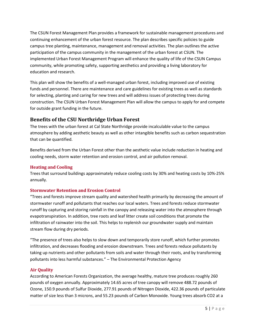The CSUN Forest Management Plan provides a framework for sustainable management procedures and continuing enhancement of the urban forest resource. The plan describes specific policies to guide campus tree planting, maintenance, management and removal activities. The plan outlines the active participation of the campus community in the management of the urban forest at CSUN. The implemented Urban Forest Management Program will enhance the quality of life of the CSUN Campus community, while promoting safety, supporting aesthetics and providing a living laboratory for education and research.

This plan will show the benefits of a well-managed urban forest, including improved use of existing funds and personnel. There are maintenance and care guidelines for existing trees as well as standards for selecting, planting and caring for new trees and will address issues of protecting trees during construction. The CSUN Urban Forest Management Plan will allow the campus to apply for and compete for outside grant funding in the future.

# <span id="page-5-0"></span>**Benefits of the CSU Northridge Urban Forest**

The trees with the urban forest at Cal State Northridge provide incalculable value to the campus atmosphere by adding aesthetic beauty as well as other intangible benefits such as carbon sequestration that can be quantified.

Benefits derived from the Urban Forest other than the aesthetic value include reduction in heating and cooling needs, storm water retention and erosion control, and air pollution removal.

#### <span id="page-5-1"></span>**Heating and Cooling**

Trees that surround buildings approximately reduce cooling costs by 30% and heating costs by 10%-25% annually.

# <span id="page-5-2"></span>**Stormwater Retention and Erosion Control**

"Trees and forests improve stream quality and watershed health primarily by decreasing the amount of stormwater runoff and pollutants that reaches our local waters. Trees and forests reduce stormwater runoff by capturing and storing rainfall in the canopy and releasing water into the atmosphere through evapotranspiration. In addition, tree roots and leaf litter create soil conditions that promote the infiltration of rainwater into the soil. This helps to replenish our groundwater supply and maintain stream flow during dry periods.

"The presence of trees also helps to slow down and temporarily store runoff, which further promotes infiltration, and decreases flooding and erosion downstream. Trees and forests reduce pollutants by taking up nutrients and other pollutants from soils and water through their roots, and by transforming pollutants into less harmful substances." – The Environmental Protection Agency

#### <span id="page-5-3"></span>**Air Quality**

According to American Forests Organization, the average healthy, mature tree produces roughly 260 pounds of oxygen annually. Approximately 14.65 acres of tree canopy will remove 488.72 pounds of Ozone, 150.9 pounds of Sulfur Dioxide, 277.91 pounds of Nitrogen Dioxide, 422.36 pounds of particulate matter of size less than 3 microns, and 55.23 pounds of Carbon Monoxide. Young trees absorb CO2 at a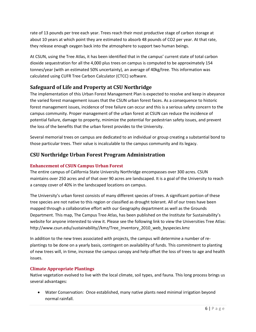rate of 13 pounds per tree each year. Trees reach their most productive stage of carbon storage at about 10 years at which point they are estimated to absorb 48 pounds of CO2 per year. At that rate, they release enough oxygen back into the atmosphere to support two human beings.

At CSUN, using the Tree Atlas, it has been identified that in the campus' current state of total carbon dioxide sequestration for all the 4,000 plus trees on campus is computed to be approximately 154 tonnes/year (with an estimated 50% uncertainty), an average of 40kg/tree. This information was calculated using CUFR Tree Carbon Calculator (CTCC) software.

# <span id="page-6-0"></span>**Safeguard of Life and Property at CSU Northridge**

The implementation of this Urban Forest Management Plan is expected to resolve and keep in abeyance the varied forest management issues that the CSUN urban forest faces. As a consequence to historic forest management issues, incidence of tree failure can occur and this is a serious safety concern to the campus community. Proper management of the urban forest at CSUN can reduce the incidence of potential failure, damage to property, minimize the potential for pedestrian safety issues, and prevent the loss of the benefits that the urban forest provides to the University.

Several memorial trees on campus are dedicated to an individual or group creating a substantial bond to those particular trees. Their value is incalculable to the campus community and its legacy.

# <span id="page-6-1"></span>**CSU Northridge Urban Forest Program Administration**

#### <span id="page-6-2"></span>**Enhancement of CSUN Campus Urban Forest**

The entire campus of California State University Northridge encompasses over 300 acres. CSUN maintains over 250 acres and of that over 90 acres are landscaped. It is a goal of the University to reach a canopy cover of 40% in the landscaped locations on campus.

The University's urban forest consists of many different species of trees. A significant portion of these tree species are not native to this region or classified as drought tolerant. All of our trees have been mapped through a collaborative effort with our Geography department as well as the Grounds Department. This map, The Campus Tree Atlas, has been published on the Institute for Sustainability's website for anyone interested to view it. Please see the following link to view the Universities Tree Atlas: http://www.csun.edu/sustainability//kmz/Tree\_Inventory\_2010\_web\_byspecies.kmz

In addition to the new trees associated with projects, the campus will determine a number of replantings to be done on a yearly basis, contingent on availability of funds. This commitment to planting of new trees will, in time, increase the campus canopy and help offset the loss of trees to age and health issues.

#### <span id="page-6-3"></span>**Climate Appropriate Plantings**

Native vegetation evolved to live with the local climate, soil types, and fauna. This long process brings us several advantages:

 Water Conservation: Once established, many native plants need minimal irrigation beyond normal rainfall.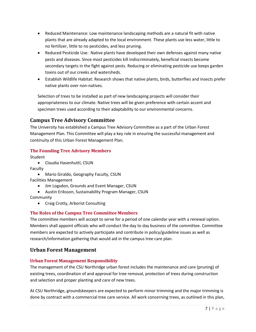- Reduced Maintenance: Low maintenance landscaping methods are a natural fit with native plants that are already adapted to the local environment. These plants use less water, little to no fertilizer, little to no pesticides, and less pruning.
- Reduced Pesticide Use: Native plants have developed their own defenses against many native pests and diseases. Since most pesticides kill indiscriminately, beneficial insects become secondary targets in the fight against pests. Reducing or eliminating pesticide use keeps garden toxins out of our creeks and watersheds.
- Establish Wildlife Habitat: Research shows that native plants, birds, butterflies and insects prefer native plants over non-natives.

Selection of trees to be installed as part of new landscaping projects will consider their appropriateness to our climate. Native trees will be given preference with certain accent and specimen trees used according to their adaptability to our environmental concerns.

# <span id="page-7-0"></span>**Campus Tree Advisory Committee**

The University has established a Campus Tree Advisory Committee as a part of the Urban Forest Management Plan. This Committee will play a key role in ensuring the successful management and continuity of this Urban Forest Management Plan.

#### <span id="page-7-1"></span>**The Founding Tree Advisory Members**

Student

• Claudia Hasenhuttl, CSUN

Faculty

- Mario Giraldo, Geography Faculty, CSUN Facilities Management
	- Jim Logsdon, Grounds and Event Manager, CSUN
	- Austin Eriksson, Sustainability Program Manager, CSUN
- **Community** 
	- Craig Crotty, Arborist Consulting

#### <span id="page-7-2"></span>**The Roles of the Campus Tree Committee Members**

The committee members will accept to serve for a period of one calendar year with a renewal option. Members shall appoint officials who will conduct the day to day business of the committee. Committee members are expected to actively participate and contribute in policy/guideline issues as well as research/information gathering that would aid in the campus tree care plan.

# <span id="page-7-3"></span>**Urban Forest Management**

#### <span id="page-7-4"></span>**Urban Forest Management Responsibility**

The management of the CSU Northridge urban forest includes the maintenance and care (pruning) of existing trees, coordination of and approval for tree removal, protection of trees during construction and selection and proper planting and care of new trees.

At CSU Northridge, groundskeepers are expected to perform minor trimming and the major trimming is done by contract with a commercial tree care service. All work concerning trees, as outlined in this plan,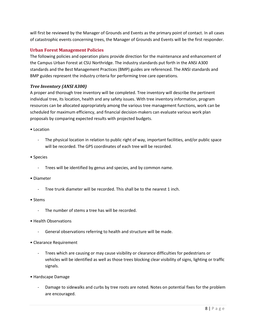will first be reviewed by the Manager of Grounds and Events as the primary point of contact. In all cases of catastrophic events concerning trees, the Manager of Grounds and Events will be the first responder.

#### <span id="page-8-0"></span>**Urban Forest Management Policies**

The following policies and operation plans provide direction for the maintenance and enhancement of the Campus Urban Forest at CSU Northridge. The industry standards put forth in the ANSI A300 standards and the Best Management Practices (BMP) guides are referenced. The ANSI standards and BMP guides represent the industry criteria for performing tree care operations.

#### *Tree Inventory (ANSI A300)*

A proper and thorough tree inventory will be completed. Tree inventory will describe the pertinent individual tree, its location, health and any safety issues. With tree inventory information, program resources can be allocated appropriately among the various tree management functions, work can be scheduled for maximum efficiency, and financial decision-makers can evaluate various work plan proposals by comparing expected results with projected budgets.

- Location
	- The physical location in relation to public right of way, important facilities, and/or public space will be recorded. The GPS coordinates of each tree will be recorded.
- Species
	- Trees will be identified by genus and species, and by common name.
- Diameter
	- Tree trunk diameter will be recorded. This shall be to the nearest 1 inch.
- Stems
	- The number of stems a tree has will be recorded.
- Health Observations
	- General observations referring to health and structure will be made.
- Clearance Requirement
	- Trees which are causing or may cause visibility or clearance difficulties for pedestrians or vehicles will be identified as well as those trees blocking clear visibility of signs, lighting or traffic signals.
- Hardscape Damage
	- Damage to sidewalks and curbs by tree roots are noted. Notes on potential fixes for the problem are encouraged.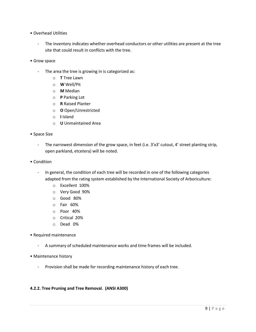- Overhead Utilities
	- The inventory indicates whether overhead conductors or other utilities are present at the tree site that could result in conflicts with the tree.
- Grow space
	- The area the tree is growing in is categorized as:
		- o **T** Tree Lawn
		- o **W** Well/Pit
		- o **M** Median
		- o **P** Parking Lot
		- o **R** Raised Planter
		- o **O** Open/Unrestricted
		- o **I** Island
		- o **U** Unmaintained Area
- Space Size
	- The narrowest dimension of the grow space, in feet (i.e. 3'x3' cutout, 4' street planting strip, open parkland, etcetera) will be noted.
- Condition
	- In general, the condition of each tree will be recorded in one of the following categories adapted from the rating system established by the International Society of Arboriculture:
		- o Excellent 100%
		- o Very Good 90%
		- o Good 80%
		- o Fair 60%
		- o Poor 40%
		- o Critical 20%
		- o Dead 0%
- Required maintenance
	- A summary of scheduled maintenance works and time frames will be included.
- Maintenance history
	- Provision shall be made for recording maintenance history of each tree.

#### **4.2.2. Tree Pruning and Tree Removal. (ANSI A300)**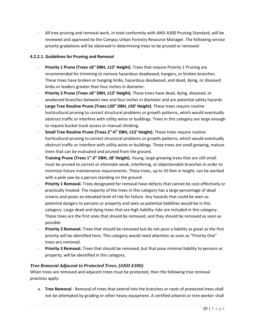- All tree pruning and removal work, in total conformity with ANSI A300 Pruning Standard, will be reviewed and approved by the Campus Urban Forestry Resource Manager. The following service priority gradations will be observed in determining trees to be pruned or removed:

#### **4.2.2.1. Guidelines for Pruning and Removal**

- **Priority 1 Prune (Trees ≥6" DBH, ≥12' Height).** Trees that require Priority 1 Pruning are recommended for trimming to remove hazardous deadwood, hangers, or broken branches. These trees have broken or hanging limbs, hazardous deadwood, and dead, dying, or diseased limbs or leaders greater than four inches in diameter.
- Priority 2 Prune (Trees ≥6" DBH, ≥12' Height). These trees have dead, dying, diseased, or weakened branches between two and four inches in diameter and are potential safety hazards.
- **Large Tree Routine Prune (Trees ≥20" DBH, ≥50' Height).** These trees require routine horticultural pruning to correct structural problems or growth patterns, which would eventually obstruct traffic or interfere with utility wires or buildings. Trees in this category are large enough to require bucket truck access or manual climbing.
- **Small Tree Routine Prune (Trees 2"-6" DBH, ≤12' Height).** These trees require routine horticultural pruning to correct structural problems or growth patterns, which would eventually obstruct traffic or interfere with utility wires or buildings. These trees are small growing, mature trees that can be evaluated and pruned from the ground.
- **Training Prune (Trees 1"-2" DBH, ≤8' Height).** Young, large-growing trees that are still small must be pruned to correct or eliminate weak, interfering, or objectionable branches in order to minimize future maintenance requirements. These trees, up to 20 feet in height, can be worked with a pole saw by a person standing on the ground.
- Priority 1 Removal. Trees designated for removal have defects that cannot be cost-effectively or practically treated. The majority of the trees in this category has a large percentage of dead crowns and poses an elevated level of risk for failure. Any hazards that could be seen as potential dangers to persons or property and seen as potential liabilities would be in this category. Large dead and dying trees that are high liability risks are included in this category. These trees are the first ones that should be removed, and they should be removed as soon as possible.
- Priority 2 Removal. Trees that should be removed but do not pose a liability as great as the first priority will be identified here. This category would need attention as soon as "Priority One" trees are removed.
- Priority 3 Removal. Trees that should be removed, but that pose minimal liability to persons or property, will be identified in this category.

#### *Tree Removal Adjacent to Protected Trees. (ANSI A300)*

When trees are removed and adjacent trees must be protected, then the following tree removal practices apply:

a. **Tree Removal** - Removal of trees that extend into the branches or roots of protected trees shall not be attempted by grading or other heavy equipment. A certified arborist or tree worker shall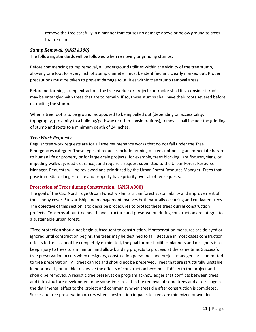remove the tree carefully in a manner that causes no damage above or below ground to trees that remain.

#### *Stump Removal. (ANSI A300)*

The following standards will be followed when removing or grinding stumps:

Before commencing stump removal, all underground utilities within the vicinity of the tree stump, allowing one foot for every inch of stump diameter, must be identified and clearly marked out. Proper precautions must be taken to prevent damage to utilities within tree stump removal areas.

Before performing stump extraction, the tree worker or project contractor shall first consider if roots may be entangled with trees that are to remain. If so, these stumps shall have their roots severed before extracting the stump.

When a tree root is to be ground, as opposed to being pulled out (depending on accessibility, topography, proximity to a building/pathway or other considerations), removal shall include the grinding of stump and roots to a minimum depth of 24 inches.

#### *Tree Work Requests*

Regular tree work requests are for all tree maintenance works that do not fall under the Tree Emergencies category. These types of requests include pruning of trees not posing an immediate hazard to human life or property or for large-scale projects (for example, trees blocking light fixtures, signs, or impeding walkway/road clearance), and require a request submitted to the Urban Forest Resource Manager. Requests will be reviewed and prioritized by the Urban Forest Resource Manager. Trees that pose immediate danger to life and property have priority over all other requests.

#### <span id="page-11-0"></span>**Protection of Trees during Construction. (ANSI A300)**

The goal of the CSU Northridge Urban Forestry Plan is urban forest sustainability and improvement of the canopy cover. Stewardship and management involves both naturally occurring and cultivated trees. The objective of this section is to describe procedures to protect these trees during construction projects. Concerns about tree health and structure and preservation during construction are integral to a sustainable urban forest.

"Tree protection should not begin subsequent to construction. If preservation measures are delayed or ignored until construction begins, the trees may be destined to fail. Because in most cases construction effects to trees cannot be completely eliminated, the goal for our facilities planners and designers is to keep injury to trees to a minimum and allow building projects to proceed at the same time. Successful tree preservation occurs when designers, construction personnel, and project managers are committed to tree preservation. All trees cannot and should not be preserved. Trees that are structurally unstable, in poor health, or unable to survive the effects of construction become a liability to the project and should be removed. A realistic tree preservation program acknowledges that conflicts between trees and infrastructure development may sometimes result in the removal of some trees and also recognizes the detrimental effect to the project and community when trees die after construction is completed. Successful tree preservation occurs when construction impacts to trees are minimized or avoided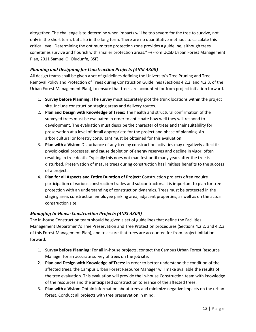altogether. The challenge is to determine when impacts will be too severe for the tree to survive, not only in the short term, but also in the long term. There are no quantitative methods to calculate this critical level. Determining the optimum tree protection zone provides a guideline, although trees sometimes survive and flourish with smaller protection areas." --(From UCSD Urban Forest Management Plan, 2011 Samuel O. Oludunfe, BSF)

#### *Planning and Designing for Construction Projects (ANSI A300)*

All design teams shall be given a set of guidelines defining the University's Tree Pruning and Tree Removal Policy and Protection of Trees during Construction Guidelines (Sections 4.2.2. and 4.2.3. of the Urban Forest Management Plan), to ensure that trees are accounted for from project initiation forward.

- 1. **Survey before Planning: The** survey must accurately plot the trunk locations within the project site. Include construction staging areas and delivery routes.
- 2. **Plan and Design with Knowledge of Trees:** The health and structural confirmation of the surveyed trees must be evaluated in order to anticipate how well they will respond to development. The evaluation must describe the character of trees and their suitability for preservation at a level of detail appropriate for the project and phase of planning. An arboricultural or forestry consultant must be obtained for this evaluation.
- 3. **Plan with a Vision:** Disturbance of any tree by construction activities may negatively affect its physiological processes, and cause depletion of energy reserves and decline in vigor, often resulting in tree death. Typically this does not manifest until many years after the tree is disturbed. Preservation of mature trees during construction has limitless benefits to the success of a project.
- 4. **Plan for all Aspects and Entire Duration of Project:** Construction projects often require participation of various construction trades and subcontractors. It is important to plan for tree protection with an understanding of construction dynamics. Trees must be protected in the staging area, construction employee parking area, adjacent properties, as well as on the actual construction site.

#### *Managing In-House Construction Projects (ANSI A300)*

The in-house Construction team should be given a set of guidelines that define the Facilities Management Department's Tree Preservation and Tree Protection procedures (Sections 4.2.2. and 4.2.3. of this Forest Management Plan), and to assure that trees are accounted for from project initiation forward.

- 1. **Survey before Planning:** For all in-house projects, contact the Campus Urban Forest Resource Manager for an accurate survey of trees on the job site.
- 2. **Plan and Design with Knowledge of Trees:** In order to better understand the condition of the affected trees, the Campus Urban Forest Resource Manager will make available the results of the tree evaluation. This evaluation will provide the in-house Construction team with knowledge of the resources and the anticipated construction tolerance of the affected trees.
- 3. **Plan with a Vision:** Obtain information about trees and minimize negative impacts on the urban forest. Conduct all projects with tree preservation in mind.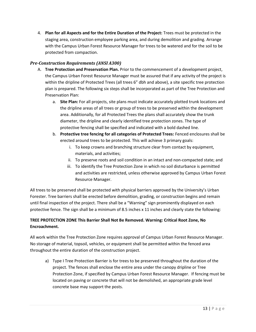4. **Plan for all Aspects and for the Entire Duration of the Project:** Trees must be protected in the staging area, construction employee parking area, and during demolition and grading. Arrange with the Campus Urban Forest Resource Manager for trees to be watered and for the soil to be protected from compaction.

#### *Pre-Construction Requirements (ANSI A300)*

- A. **Tree Protection and Preservation Plan.** Prior to the commencement of a development project, the Campus Urban Forest Resource Manager must be assured that if any activity of the project is within the dripline of Protected Trees (all trees 6" dbh and above), a site specific tree protection plan is prepared. The following six steps shall be incorporated as part of the Tree Protection and Preservation Plan:
	- a. **Site Plan:** For all projects, site plans must indicate accurately plotted trunk locations and the dripline areas of all trees or group of trees to be preserved within the development area. Additionally, for all Protected Trees the plans shall accurately show the trunk diameter, the dripline and clearly identified tree protection zones. The type of protective fencing shall be specified and indicated with a bold dashed line.
	- b. **Protective tree fencing for all categories of Protected Trees:** Fenced enclosures shall be erected around trees to be protected. This will achieve 3 primary goals:
		- i. To keep crowns and branching structure clear from contact by equipment, materials, and activities;
		- ii. To preserve roots and soil condition in an intact and non-compacted state; and
		- iii. To identify the Tree Protection Zone in which no soil disturbance is permitted and activities are restricted, unless otherwise approved by Campus Urban Forest Resource Manager.

All trees to be preserved shall be protected with physical barriers approved by the University's Urban Forester. Tree barriers shall be erected before demolition, grading, or construction begins and remain until final inspection of the project. There shall be a "Warning" sign prominently displayed on each protective fence. The sign shall be a minimum of 8.5 inches x 11 inches and clearly state the following:

#### **TREE PROTECTION ZONE This Barrier Shall Not Be Removed. Warning: Critical Root Zone, No Encroachment.**

All work within the Tree Protection Zone requires approval of Campus Urban Forest Resource Manager. No storage of material, topsoil, vehicles, or equipment shall be permitted within the fenced area throughout the entire duration of the construction project.

a) Type I Tree Protection Barrier is for trees to be preserved throughout the duration of the project. The fences shall enclose the entire area under the canopy dripline or Tree Protection Zone, if specified by Campus Urban Forest Resource Manager. If fencing must be located on paving or concrete that will not be demolished, an appropriate grade level concrete base may support the posts.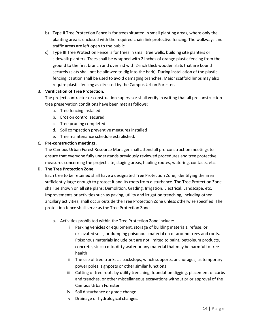- b) Type II Tree Protection Fence is for trees situated in small planting areas, where only the planting area is enclosed with the required chain link protective fencing. The walkways and traffic areas are left open to the public.
- c) Type III Tree Protection Fence is for trees in small tree wells, building site planters or sidewalk planters. Trees shall be wrapped with 2 inches of orange plastic fencing from the ground to the first branch and overlaid with 2-inch thick wooden slats that are bound securely (slats shall not be allowed to dig into the bark). During installation of the plastic fencing, caution shall be used to avoid damaging branches. Major scaffold limbs may also require plastic fencing as directed by the Campus Urban Forester.

#### B. **Verification of Tree Protection.**

The project contractor or construction supervisor shall verify in writing that all preconstruction tree preservation conditions have been met as follows:

- a. Tree fencing installed
- b. Erosion control secured
- c. Tree pruning completed
- d. Soil compaction preventive measures installed
- e. Tree maintenance schedule established.

#### **C. Pre-construction meetings.**

The Campus Urban Forest Resource Manager shall attend all pre-construction meetings to ensure that everyone fully understands previously reviewed procedures and tree protective measures concerning the project site, staging areas, hauling routes, watering, contacts, etc.

#### **D. The Tree Protection Zone.**

Each tree to be retained shall have a designated Tree Protection Zone, identifying the area sufficiently large enough to protect it and its roots from disturbance. The Tree Protection Zone shall be shown on all site plans: Demolition, Grading, Irrigation, Electrical, Landscape, etc. Improvements or activities such as paving, utility and irrigation trenching, including other ancillary activities, shall occur outside the Tree Protection Zone unless otherwise specified. The protection fence shall serve as the Tree Protection Zone.

- a. Activities prohibited within the Tree Protection Zone include:
	- i. Parking vehicles or equipment, storage of building materials, refuse, or excavated soils, or dumping poisonous material on or around trees and roots. Poisonous materials include but are not limited to paint, petroleum products, concrete, stucco mix, dirty water or any material that may be harmful to tree health
	- ii. The use of tree trunks as backstops, winch supports, anchorages, as temporary power poles, signposts or other similar functions
	- iii. Cutting of tree roots by utility trenching, foundation digging, placement of curbs and trenches, or other miscellaneous excavations without prior approval of the Campus Urban Forester
	- iv. Soil disturbance or grade change
	- v. Drainage or hydrological changes.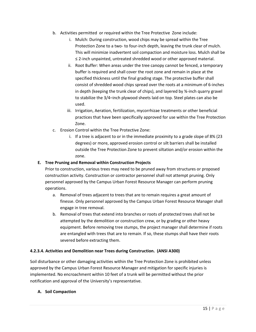- b. Activities permitted or required within the Tree Protective Zone include:
	- i. Mulch: During construction, wood chips may be spread within the Tree Protection Zone to a two- to four-inch depth, leaving the trunk clear of mulch. This will minimize inadvertent soil compaction and moisture loss. Mulch shall be ≤ 2-inch unpainted, untreated shredded wood or other approved material.
	- ii. Root Buffer: When areas under the tree canopy cannot be fenced, a temporary buffer is required and shall cover the root zone and remain in place at the specified thickness until the final grading stage. The protective buffer shall consist of shredded wood chips spread over the roots at a minimum of 6-inches in depth (keeping the trunk clear of chips), and layered by ¾-inch quarry gravel to stabilize the 3/4–inch plywood sheets laid on top. Steel plates can also be used.
	- iii. Irrigation, Aeration, fertilization, mycorrhizae treatments or other beneficial practices that have been specifically approved for use within the Tree Protection Zone.
- c. Erosion Control within the Tree Protective Zone:
	- i. If a tree is adjacent to or in the immediate proximity to a grade slope of 8% (23 degrees) or more, approved erosion control or silt barriers shall be installed outside the Tree Protection Zone to prevent siltation and/or erosion within the zone.

#### **E. Tree Pruning and Removal within Construction Projects**

Prior to construction, various trees may need to be pruned away from structures or proposed construction activity. Construction or contractor personnel shall not attempt pruning. Only personnel approved by the Campus Urban Forest Resource Manager can perform pruning operations.

- a. Removal of trees adjacent to trees that are to remain requires a great amount of finesse. Only personnel approved by the Campus Urban Forest Resource Manager shall engage in tree removal.
- b. Removal of trees that extend into branches or roots of protected trees shall not be attempted by the demolition or construction crew, or by grading or other heavy equipment. Before removing tree stumps, the project manager shall determine if roots are entangled with trees that are to remain. If so, these stumps shall have their roots severed before extracting them.

#### **4.2.3.4. Activities and Demolition near Trees during Construction. (ANSI A300)**

Soil disturbance or other damaging activities within the Tree Protection Zone is prohibited unless approved by the Campus Urban Forest Resource Manager and mitigation for specific injuries is implemented. No encroachment within 10 feet of a trunk will be permitted without the prior notification and approval of the University's representative.

#### **A. Soil Compaction**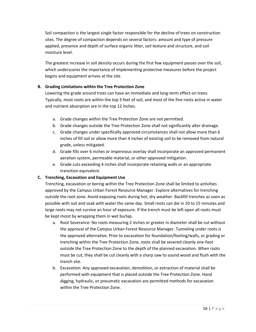Soil compaction is the largest single factor responsible for the decline of trees on construction sites. The degree of compaction depends on several factors: amount and type of pressure applied, presence and depth of surface organic litter, soil texture and structure, and soil moisture level.

The greatest increase in soil density occurs during the first few equipment passes over the soil, which underscores the importance of implementing protective measures before the project begins and equipment arrives at the site.

#### **B. Grading Limitations within the Tree Protection Zone**

Lowering the grade around trees can have an immediate and long-term effect on trees. Typically, most roots are within the top 3 feet of soil, and most of the fine roots active in water and nutrient absorption are in the top 12 inches.

- a. Grade changes within the Tree Protection Zone are not permitted.
- b. Grade changes outside the Tree Protection Zone shall not significantly alter drainage.
- c. Grade changes under specifically approved circumstances shall not allow more than 6 inches of fill soil or allow more than 4 inches of existing soil to be removed from natural grade, unless mitigated.
- d. Grade fills over 6 inches or impervious overlay shall incorporate an approved permanent aeration system, permeable material, or other approved mitigation.
- e. Grade cuts exceeding 4 inches shall incorporate retaining walls or an appropriate transition equivalent.

#### **C. Trenching, Excavation and Equipment Use**

Trenching, excavation or boring within the Tree Protection Zone shall be limited to activities approved by the Campus Urban Forest Resource Manager. Explore alternatives for trenching outside the root zone. Avoid exposing roots during hot, dry weather. Backfill trenches as soon as possible with soil and soak with water the same day. Small roots can die in 10 to 15 minutes and large roots may not survive an hour of exposure. If the trench must be left open all roots must be kept moist by wrapping them in wet burlap.

- a. Root Severance: No roots measuring 2 inches or greater in diameter shall be cut without the approval of the Campus Urban Forest Resource Manager. Tunneling under roots is the approved alternative. Prior to excavation for foundation/footing/walls, or grading or trenching within the Tree Protection Zone, roots shall be severed cleanly one-foot outside the Tree Protection Zone to the depth of the planned excavation. When roots must be cut, they shall be cut cleanly with a sharp saw to sound wood and flush with the trench site.
- b. Excavation: Any approved excavation, demolition, or extraction of material shall be performed with equipment that is placed outside the Tree Protection Zone. Hand digging, hydraulic, or pneumatic excavation are permitted methods for excavation within the Tree Protection Zone.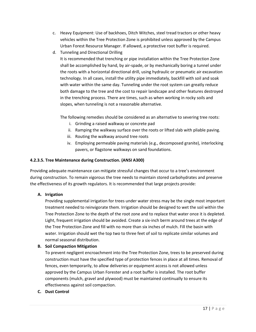- c. Heavy Equipment: Use of backhoes, Ditch Witches, steel tread tractors or other heavy vehicles within the Tree Protection Zone is prohibited unless approved by the Campus Urban Forest Resource Manager. If allowed, a protective root buffer is required.
- d. Tunneling and Directional Drilling

It is recommended that trenching or pipe installation within the Tree Protection Zone shall be accomplished by hand, by air-spade, or by mechanically boring a tunnel under the roots with a horizontal directional drill, using hydraulic or pneumatic air excavation technology. In all cases, install the utility pipe immediately, backfill with soil and soak with water within the same day. Tunneling under the root system can greatly reduce both damage to the tree and the cost to repair landscape and other features destroyed in the trenching process. There are times, such as when working in rocky soils and slopes, when tunneling is not a reasonable alternative.

The following remedies should be considered as an alternative to severing tree roots:

- i. Grinding a raised walkway or concrete pad
- ii. Ramping the walkway surface over the roots or lifted slab with pliable paving.
- iii. Routing the walkway around tree roots
- iv. Employing permeable paving materials (e.g., decomposed granite), interlocking pavers, or flagstone walkways on sand foundations.

#### **4.2.3.5. Tree Maintenance during Construction. (ANSI A300)**

Providing adequate maintenance can mitigate stressful changes that occur to a tree's environment during construction. To remain vigorous the tree needs to maintain stored carbohydrates and preserve the effectiveness of its growth regulators. It is recommended that large projects provide:

#### **A. Irrigation**

Providing supplemental irrigation for trees under water stress may be the single most important treatment needed to reinvigorate them. Irrigation should be designed to wet the soil within the Tree Protection Zone to the depth of the root zone and to replace that water once it is depleted. Light, frequent irrigation should be avoided. Create a six-inch berm around trees at the edge of the Tree Protection Zone and fill with no more than six inches of mulch. Fill the basin with water. Irrigation should wet the top two to three feet of soil to replicate similar volumes and normal seasonal distribution.

#### **B. Soil Compaction Mitigation**

To prevent negligent encroachment into the Tree Protection Zone, trees to be preserved during construction must have the specified type of protection fences in place at all times. Removal of fences, even temporarily, to allow deliveries or equipment access is not allowed unless approved by the Campus Urban Forester and a root buffer is installed. The root buffer components (mulch, gravel and plywood) must be maintained continually to ensure its effectiveness against soil compaction.

#### **C. Dust Control**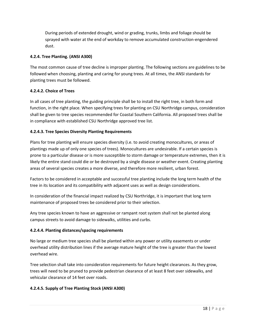During periods of extended drought, wind or grading, trunks, limbs and foliage should be sprayed with water at the end of workday to remove accumulated construction-engendered dust.

#### **4.2.4. Tree Planting. (ANSI A300)**

The most common cause of tree decline is improper planting. The following sections are guidelines to be followed when choosing, planting and caring for young trees. At all times, the ANSI standards for planting trees must be followed.

#### **4.2.4.2. Choice of Trees**

In all cases of tree planting, the guiding principle shall be to install the right tree, in both form and function, in the right place. When specifying trees for planting on CSU Northridge campus, consideration shall be given to tree species recommended for Coastal Southern California. All proposed trees shall be in compliance with established CSU Northridge approved tree list.

#### **4.2.4.3. Tree Species Diversity Planting Requirements**

Plans for tree planting will ensure species diversity (i.e. to avoid creating monocultures, or areas of plantings made up of only one species of trees). Monocultures are undesirable. If a certain species is prone to a particular disease or is more susceptible to storm damage or temperature extremes, then it is likely the entire stand could die or be destroyed by a single disease or weather event. Creating planting areas of several species creates a more diverse, and therefore more resilient, urban forest.

Factors to be considered in acceptable and successful tree planting include the long term health of the tree in its location and its compatibility with adjacent uses as well as design considerations.

In consideration of the financial impact realized by CSU Northridge, it is important that long term maintenance of proposed trees be considered prior to their selection.

Any tree species known to have an aggressive or rampant root system shall not be planted along campus streets to avoid damage to sidewalks, utilities and curbs.

#### **4.2.4.4. Planting distances/spacing requirements**

No large or medium tree species shall be planted within any power or utility easements or under overhead utility distribution lines if the average mature height of the tree is greater than the lowest overhead wire.

Tree selection shall take into consideration requirements for future height clearances. As they grow, trees will need to be pruned to provide pedestrian clearance of at least 8 feet over sidewalks, and vehicular clearance of 14 feet over roads.

#### **4.2.4.5. Supply of Tree Planting Stock (ANSI A300)**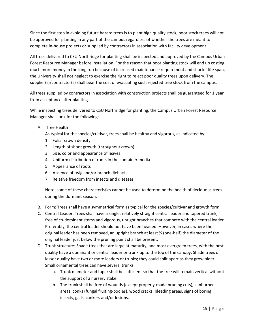Since the first step in avoiding future hazard trees is to plant high quality stock, poor stock trees will not be approved for planting in any part of the campus regardless of whether the trees are meant to complete in-house projects or supplied by contractors in association with facility development.

All trees delivered to CSU Northridge for planting shall be inspected and approved by the Campus Urban Forest Resource Manager before installation. For the reason that poor planting stock will end up costing much more money in the long run because of increased maintenance requirement and shorter life span, the University shall not neglect to exercise the right to reject poor quality trees upon delivery. The supplier(s)/contractor(s) shall bear the cost of evacuating such rejected tree stock from the campus.

All trees supplied by contractors in association with construction projects shall be guaranteed for 1 year from acceptance after planting.

While inspecting trees delivered to CSU Northridge for planting, the Campus Urban Forest Resource Manager shall look for the following:

A. Tree Health

As typical for the species/cultivar, trees shall be healthy and vigorous, as indicated by:

- 1. Foliar crown density
- 2. Length of shoot growth (throughout crown)
- 3. Size, color and appearance of leaves
- 4. Uniform distribution of roots in the container media
- 5. Appearance of roots
- 6. Absence of twig and/or branch dieback
- 7. Relative freedom from insects and diseases

Note: some of these characteristics cannot be used to determine the health of deciduous trees during the dormant season.

- B. Form: Trees shall have a symmetrical form as typical for the species/cultivar and growth form.
- C. Central Leader: Trees shall have a single, relatively straight central leader and tapered trunk, free of co-dominant stems and vigorous, upright branches that compete with the central leader. Preferably, the central leader should not have been headed. However, in cases where the original leader has been removed, an upright branch at least ½ (one-half) the diameter of the original leader just below the pruning point shall be present.
- D. Trunk structure: Shade trees that are large at maturity, and most evergreen trees, with the best quality have a dominant or central leader or trunk up to the top of the canopy. Shade trees of lesser quality have two or more leaders or trunks; they could split apart as they grow older. Small ornamental trees can have several trunks.
	- a. Trunk diameter and taper shall be sufficient so that the tree will remain vertical without the support of a nursery stake.
	- b. The trunk shall be free of wounds (except properly-made pruning cuts), sunburned areas, conks (fungal fruiting-bodies), wood cracks, bleeding areas, signs of boring insects, galls, cankers and/or lesions.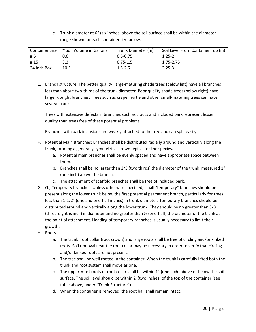c. Trunk diameter at 6" (six inches) above the soil surface shall be within the diameter range shown for each container size below:

| <b>Container Size</b> | ~ Soil Volume in Gallons | Trunk Diameter (in) | Soil Level From Container Top (in) |
|-----------------------|--------------------------|---------------------|------------------------------------|
| #5                    | 0.6                      | $0.5 - 0.75$        | $1.25 - 2$                         |
| #15                   | 3.3                      | $0.75 - 1.5$        | 1.75-2.75                          |
| 24 Inch Box           | 10.5                     | $1.5 - 2.5$         | $2.25 - 3$                         |

E. Branch structure: The better quality, large-maturing shade trees (below left) have all branches less than about two-thirds of the trunk diameter. Poor quality shade trees (below right) have larger upright branches. Trees such as crape myrtle and other small-maturing trees can have several trunks.

Trees with extensive defects in branches such as cracks and included bark represent lesser quality than trees free of these potential problems.

Branches with bark inclusions are weakly attached to the tree and can split easily.

- F. Potential Main Branches: Branches shall be distributed radially around and vertically along the trunk, forming a generally symmetrical crown typical for the species.
	- a. Potential main branches shall be evenly spaced and have appropriate space between them.
	- b. Branches shall be no larger than 2/3 (two thirds) the diameter of the trunk, measured 1" (one inch) above the branch.
	- c. The attachment of scaffold branches shall be free of included bark.
- G. G.) Temporary branches: Unless otherwise specified, small "temporary" branches should be present along the lower trunk below the first potential permanent branch, particularly for trees less than 1-1/2" (one and one-half inches) in trunk diameter. Temporary branches should be distributed around and vertically along the lower trunk. They should be no greater than 3/8" (three-eighths inch) in diameter and no greater than ½ (one-half) the diameter of the trunk at the point of attachment. Heading of temporary branches is usually necessary to limit their growth.
- H. Roots
	- a. The trunk, root collar (root crown) and large roots shall be free of circling and/or kinked roots. Soil removal near the root collar may be necessary in order to verify that circling and/or kinked roots are not present.
	- b. The tree shall be well rooted in the container. When the trunk is carefully lifted both the trunk and root system shall move as one.
	- c. The upper-most roots or root collar shall be within 1" (one inch) above or below the soil surface. The soil level should be within 2' (two inches) of the top of the container (see table above, under "Trunk Structure").
	- d. When the container is removed, the root ball shall remain intact.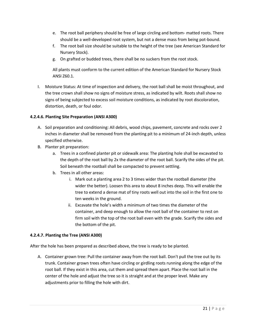- e. The root ball periphery should be free of large circling and bottom- matted roots. There should be a well-developed root system, but not a dense mass from being pot-bound.
- f. The root ball size should be suitable to the height of the tree (see American Standard for Nursery Stock).
- g. On grafted or budded trees, there shall be no suckers from the root stock.

All plants must conform to the current edition of the American Standard for Nursery Stock ANSI Z60.1.

I. Moisture Status: At time of inspection and delivery, the root ball shall be moist throughout, and the tree crown shall show no signs of moisture stress, as indicated by wilt. Roots shall show no signs of being subjected to excess soil moisture conditions, as indicated by root discoloration, distortion, death, or foul odor.

#### **4.2.4.6. Planting Site Preparation (ANSI A300)**

- A. Soil preparation and conditioning: All debris, wood chips, pavement, concrete and rocks over 2 inches in diameter shall be removed from the planting pit to a minimum of 24-inch depth, unless specified otherwise.
- B. Planter pit preparation:
	- a. Trees in a confined planter pit or sidewalk area: The planting hole shall be excavated to the depth of the root ball by 2x the diameter of the root ball. Scarify the sides of the pit. Soil beneath the rootball shall be compacted to prevent settling.
	- b. Trees in all other areas:
		- i. Mark out a planting area 2 to 3 times wider than the rootball diameter (the wider the better). Loosen this area to about 8 inches deep. This will enable the tree to extend a dense mat of tiny roots well out into the soil in the first one to ten weeks in the ground.
		- ii. Excavate the hole's width a minimum of two times the diameter of the container, and deep enough to allow the root ball of the container to rest on firm soil with the top of the root ball even with the grade. Scarify the sides and the bottom of the pit.

#### **4.2.4.7. Planting the Tree (ANSI A300)**

After the hole has been prepared as described above, the tree is ready to be planted.

A. Container grown tree: Pull the container away from the root ball. Don't pull the tree out by its trunk. Container grown trees often have circling or girdling roots running along the edge of the root ball. If they exist in this area, cut them and spread them apart. Place the root ball in the center of the hole and adjust the tree so it is straight and at the proper level. Make any adjustments prior to filling the hole with dirt.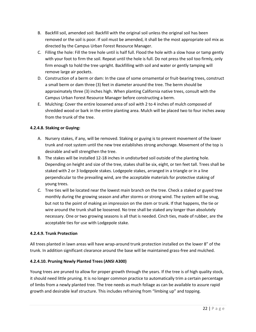- B. Backfill soil, amended soil: Backfill with the original soil unless the original soil has been removed or the soil is poor. If soil must be amended, it shall be the most appropriate soil mix as directed by the Campus Urban Forest Resource Manager.
- C. Filling the hole: Fill the tree hole until is half full. Flood the hole with a slow hose or tamp gently with your foot to firm the soil. Repeat until the hole is full. Do not press the soil too firmly, only firm enough to hold the tree upright. Backfilling with soil and water or gently tamping will remove large air pockets.
- D. Construction of a berm or dam: In the case of some ornamental or fruit-bearing trees, construct a small berm or dam three (3) feet in diameter around the tree. The berm should be approximately three (3) inches high. When planting California native trees, consult with the Campus Urban Forest Resource Manager before constructing a berm.
- E. Mulching: Cover the entire loosened area of soil with 2 to 4 inches of mulch composed of shredded wood or bark in the entire planting area. Mulch will be placed two to four inches away from the trunk of the tree.

#### **4.2.4.8. Staking or Guying:**

- A. Nursery stakes, if any, will be removed. Staking or guying is to prevent movement of the lower trunk and root system until the new tree establishes strong anchorage. Movement of the top is desirable and will strengthen the tree.
- B. The stakes will be installed 12-18 inches in undisturbed soil outside of the planting hole. Depending on height and size of the tree, stakes shall be six, eight, or ten feet tall. Trees shall be staked with 2 or 3 lodgepole stakes. Lodgepole stakes, arranged in a triangle or in a line perpendicular to the prevailing wind, are the acceptable materials for protective staking of young trees.
- C. Tree ties will be located near the lowest main branch on the tree. Check a staked or guyed tree monthly during the growing season and after storms or strong wind. The system will be snug, but not to the point of making an impression on the stem or trunk. If that happens, the tie or wire around the trunk shall be loosened. No tree shall be staked any longer than absolutely necessary. One or two growing seasons is all that is needed. Cinch ties, made of rubber, are the acceptable ties for use with Lodgepole stake.

#### **4.2.4.9. Trunk Protection**

All trees planted in lawn areas will have wrap-around trunk protection installed on the lower 8" of the trunk. In addition significant clearance around the base will be maintained grass-free and mulched.

#### **4.2.4.10. Pruning Newly Planted Trees (ANSI A300)**

Young trees are pruned to allow for proper growth through the years. If the tree is of high quality stock, it should need little pruning. It is no longer common practice to automatically trim a certain percentage of limbs from a newly planted tree. The tree needs as much foliage as can be available to assure rapid growth and desirable leaf structure. This includes refraining from "limbing up" and topping.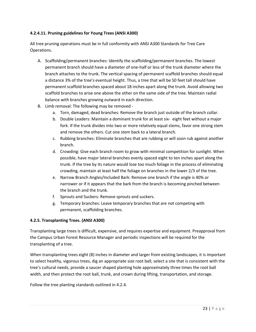#### **4.2.4.11. Pruning guidelines for Young Trees (ANSI A300)**

All tree pruning operations must be in full conformity with ANSI A300 Standards for Tree Care Operations.

- A. Scaffolding/permanent branches: Identify the scaffolding/permanent branches. The lowest permanent branch should have a diameter of one-half or less of the trunk diameter where the branch attaches to the trunk. The vertical spacing of permanent scaffold branches should equal a distance 3% of the tree's eventual height. Thus, a tree that will be 50 feet tall should have permanent scaffold branches spaced about 18 inches apart along the trunk. Avoid allowing two scaffold branches to arise one above the other on the same side of the tree. Maintain radial balance with branches growing outward in each direction.
- B. Limb removal: The following may be removed
	- a. Torn, damaged, dead branches: Remove the branch just outside of the branch collar.
	- b. Double Leaders: Maintain a dominant trunk for at least six- eight feet without a major fork. If the trunk divides into two or more relatively equal stems, favor one strong stem and remove the others. Cut one stem back to a lateral branch.
	- c. Rubbing branches: Eliminate branches that are rubbing or will soon rub against another branch.
	- d. Crowding: Give each branch room to grow with minimal competition for sunlight. When possible, have major lateral branches evenly spaced eight to ten inches apart along the trunk. If the tree by its nature would lose too much foliage in the process of eliminating crowding, maintain at least half the foliage on branches in the lower 2/3 of the tree.
	- e. Narrow Branch Angles/Included Bark: Remove one branch if the angle is 40% or narrower or if it appears that the bark from the branch is becoming pinched between the branch and the trunk.
	- f. Sprouts and Suckers: Remove sprouts and suckers.
	- g. Temporary branches: Leave temporary branches that are not competing with permanent, scaffolding branches.

#### **4.2.5. Transplanting Trees. (ANSI A300)**

Transplanting large trees is difficult, expensive, and requires expertise and equipment. Preapproval from the Campus Urban Forest Resource Manager and periodic inspections will be required for the transplanting of a tree.

When transplanting trees eight (8) inches in diameter and larger from existing landscapes, it is important to select healthy, vigorous trees, dig an appropriate size root ball, select a site that is consistent with the tree's cultural needs, provide a saucer shaped planting hole approximately three times the root ball width, and then protect the root ball, trunk, and crown during lifting, transportation, and storage.

Follow the tree planting standards outlined in 4.2.4.